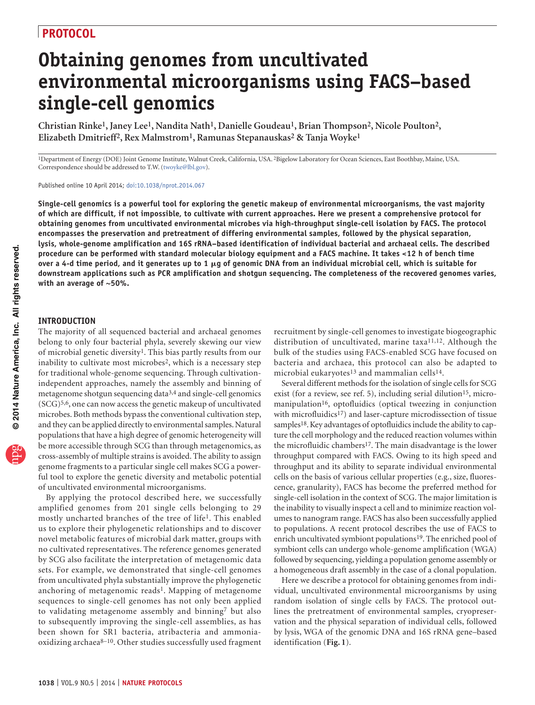# **Obtaining genomes from uncultivated environmental microorganisms using FACS–based single-cell genomics**

**Christian Rinke1, Janey Lee1, Nandita Nath1, Danielle Goudeau1, Brian Thompson2, Nicole Poulton2, Elizabeth Dmitrieff2, Rex Malmstrom1, Ramunas Stepanauskas2 & Tanja Woyke1**

1Department of Energy (DOE) Joint Genome Institute, Walnut Creek, California, USA. 2Bigelow Laboratory for Ocean Sciences, East Boothbay, Maine, USA. Correspondence should be addressed to T.W. (twoyke@lbl.gov).

Published online 10 April 2014; [doi:10.1038/nprot.2014.067](http://www.nature.com/doifinder/10.1038/nprot.2014.067)

**Single-cell genomics is a powerful tool for exploring the genetic makeup of environmental microorganisms, the vast majority of which are difficult, if not impossible, to cultivate with current approaches. Here we present a comprehensive protocol for obtaining genomes from uncultivated environmental microbes via high-throughput single-cell isolation by FACS. The protocol encompasses the preservation and pretreatment of differing environmental samples, followed by the physical separation, lysis, whole-genome amplification and 16S rRNA–based identification of individual bacterial and archaeal cells. The described procedure can be performed with standard molecular biology equipment and a FACS machine. It takes <12 h of bench time over a 4-d time period, and it generates up to 1** m**g of genomic DNA from an individual microbial cell, which is suitable for downstream applications such as PCR amplification and shotgun sequencing. The completeness of the recovered genomes varies, with an average of ~50%.**

#### **INTRODUCTION**

The majority of all sequenced bacterial and archaeal genomes belong to only four bacterial phyla, severely skewing our view of microbial genetic diversit[y1.](#page-10-0) This bias partly results from our inability to cultivate most microbes<sup>2</sup>, which is a necessary step for traditional whole-genome sequencing. Through cultivationindependent approaches, namely the assembly and binning of metagenome shotgun sequencing dat[a3,4](#page-10-2) and single-cell genomics (SCG[\)5,6](#page-10-3), one can now access the genetic makeup of uncultivated microbes. Both methods bypass the conventional cultivation step, and they can be applied directly to environmental samples. Natural populations that have a high degree of genomic heterogeneity will be more accessible through SCG than through metagenomics, as cross-assembly of multiple strains is avoided. The ability to assign genome fragments to a particular single cell makes SCG a powerful tool to explore the genetic diversity and metabolic potential of uncultivated environmental microorganisms.

By applying the protocol described here, we successfully amplified genomes from 201 single cells belonging to 29 mostly uncharted branches of the tree of life<sup>1</sup>. This enabled us to explore their phylogenetic relationships and to discover novel metabolic features of microbial dark matter, groups with no cultivated representatives. The reference genomes generated by SCG also facilitate the interpretation of metagenomic data sets. For example, we demonstrated that single-cell genomes from uncultivated phyla substantially improve the phylogenetic anchoring of metagenomic reads<sup>1</sup>. Mapping of metagenome sequences to single-cell genomes has not only been applied to validating metagenome assembly and binnin[g7](#page-10-4) but also to subsequently improving the single-cell assemblies, as has been shown for SR1 bacteria, atribacteria and ammoniaoxidizing archaea $8-10$ . Other studies successfully used fragment recruitment by single-cell genomes to investigate biogeographic distribution of uncultivated, marine taxa[11,12](#page-10-6). Although the bulk of the studies using FACS-enabled SCG have focused on bacteria and archaea, this protocol can also be adapted to microbial eukaryotes<sup>13</sup> and mammalian cells<sup>14</sup>.

Several different methods for the isolation of single cells for SCG exist (for a review, see ref. [5\)](#page-10-8), including serial dilution<sup>[15](#page-10-9)</sup>, micromanipulation<sup>16</sup>, optofluidics (optical tweezing in conjunction with microfluidics<sup>[17](#page-10-11)</sup>) and laser-capture microdissection of tissue samples<sup>[18](#page-10-12)</sup>. Key advantages of optofluidics include the ability to capture the cell morphology and the reduced reaction volumes within the microfluidic chambers<sup>17</sup>. The main disadvantage is the lower throughput compared with FACS. Owing to its high speed and throughput and its ability to separate individual environmental cells on the basis of various cellular properties (e.g., size, fluorescence, granularity), FACS has become the preferred method for single-cell isolation in the context of SCG. The major limitation is the inability to visually inspect a cell and to minimize reaction volumes to nanogram range. FACS has also been successfully applied to populations. A recent protocol describes the use of FACS to enrich uncultivated symbiont populations<sup>19</sup>. The enriched pool of symbiont cells can undergo whole-genome amplification (WGA) followed by sequencing, yielding a population genome assembly or a homogeneous draft assembly in the case of a clonal population.

Here we describe a protocol for obtaining genomes from individual, uncultivated environmental microorganisms by using random isolation of single cells by FACS. The protocol outlines the pretreatment of environmental samples, cryopreservation and the physical separation of individual cells, followed by lysis, WGA of the genomic DNA and 16S rRNA gene–based identification (**[Fig. 1](#page-1-0)**).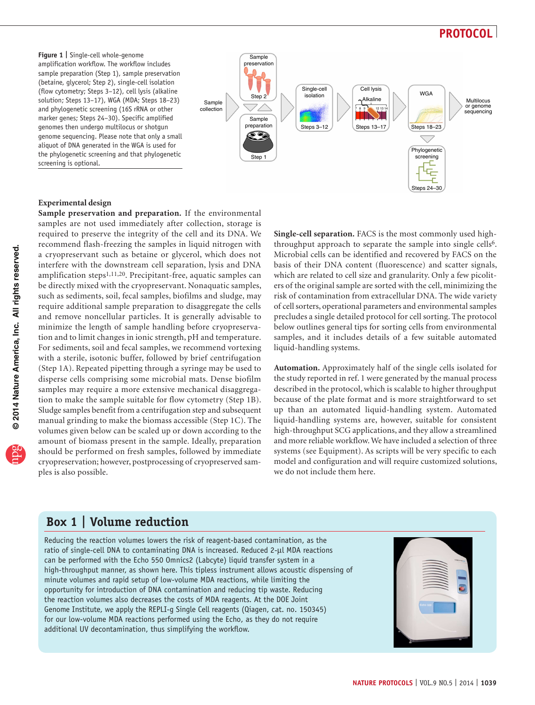<span id="page-1-0"></span>**Figure 1 |** Single-cell whole-genome amplification workflow. The workflow includes sample preparation (Step 1), sample preservation (betaine, glycerol; Step 2), single-cell isolation (flow cytometry; Steps 3–12), cell lysis (alkaline solution; Steps 13–17), WGA (MDA; Steps 18–23) and phylogenetic screening (16S rRNA or other marker genes; Steps 24–30). Specific amplified genomes then undergo multilocus or shotgun genome sequencing. Please note that only a small aliquot of DNA generated in the WGA is used for the phylogenetic screening and that phylogenetic screening is optional.



#### **Experimental design**

**Sample preservation and preparation.** If the environmental samples are not used immediately after collection, storage is required to preserve the integrity of the cell and its DNA. We recommend flash-freezing the samples in liquid nitrogen with a cryopreservant such as betaine or glycerol, which does not interfere with the downstream cell separation, lysis and DNA amplification steps<sup>[1,11,20](#page-10-0)</sup>. Precipitant-free, aquatic samples can be directly mixed with the cryopreservant. Nonaquatic samples, such as sediments, soil, fecal samples, biofilms and sludge, may require additional sample preparation to disaggregate the cells and remove noncellular particles. It is generally advisable to minimize the length of sample handling before cryopreservation and to limit changes in ionic strength, pH and temperature. For sediments, soil and fecal samples, we recommend vortexing with a sterile, isotonic buffer, followed by brief centrifugation (Step 1A). Repeated pipetting through a syringe may be used to disperse cells comprising some microbial mats. Dense biofilm samples may require a more extensive mechanical disaggregation to make the sample suitable for flow cytometry (Step 1B). Sludge samples benefit from a centrifugation step and subsequent manual grinding to make the biomass accessible (Step 1C). The volumes given below can be scaled up or down according to the amount of biomass present in the sample. Ideally, preparation should be performed on fresh samples, followed by immediate cryopreservation; however, postprocessing of cryopreserved samples is also possible.

**Single-cell separation.** FACS is the most commonly used high-throughput approach to separate the sample into single cells<sup>[6](#page-10-14)</sup>. Microbial cells can be identified and recovered by FACS on the basis of their DNA content (fluorescence) and scatter signals, which are related to cell size and granularity. Only a few picoliters of the original sample are sorted with the cell, minimizing the risk of contamination from extracellular DNA. The wide variety of cell sorters, operational parameters and environmental samples precludes a single detailed protocol for cell sorting. The protocol below outlines general tips for sorting cells from environmental samples, and it includes details of a few suitable automated liquid-handling systems.

**Automation.** Approximately half of the single cells isolated for the study reported in ref. [1](#page-10-0) were generated by the manual process described in the protocol, which is scalable to higher throughput because of the plate format and is more straightforward to set up than an automated liquid-handling system. Automated liquid-handling systems are, however, suitable for consistent high-throughput SCG applications, and they allow a streamlined and more reliable workflow. We have included a selection of three systems (see Equipment). As scripts will be very specific to each model and configuration and will require customized solutions, we do not include them here.

# <span id="page-1-1"></span>**Box 1 | Volume reduction**

Reducing the reaction volumes lowers the risk of reagent-based contamination, as the ratio of single-cell DNA to contaminating DNA is increased. Reduced 2-µl MDA reactions can be performed with the Echo 550 Omnics2 (Labcyte) liquid transfer system in a high-throughput manner, as shown here. This tipless instrument allows acoustic dispensing of minute volumes and rapid setup of low-volume MDA reactions, while limiting the opportunity for introduction of DNA contamination and reducing tip waste. Reducing the reaction volumes also decreases the costs of MDA reagents. At the DOE Joint Genome Institute, we apply the REPLI-g Single Cell reagents (Qiagen, cat. no. 150345) for our low-volume MDA reactions performed using the Echo, as they do not require additional UV decontamination, thus simplifying the workflow.

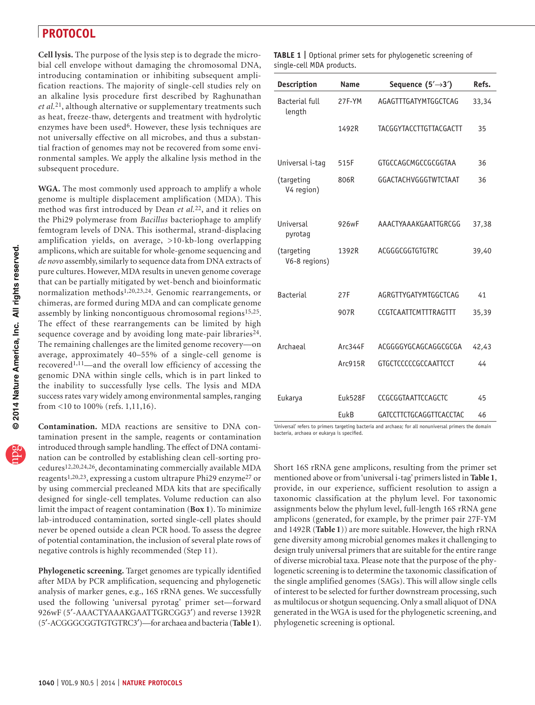**Cell lysis.** The purpose of the lysis step is to degrade the microbial cell envelope without damaging the chromosomal DNA, introducing contamination or inhibiting subsequent amplification reactions. The majority of single-cell studies rely on an alkaline lysis procedure first described by Raghunathan *et al.*[21](#page-10-15), although alternative or supplementary treatments such as heat, freeze-thaw, detergents and treatment with hydrolytic enzymes have been used<sup>[6](#page-10-14)</sup>. However, these lysis techniques are not universally effective on all microbes, and thus a substantial fraction of genomes may not be recovered from some environmental samples. We apply the alkaline lysis method in the subsequent procedure.

**WGA.** The most commonly used approach to amplify a whole genome is multiple displacement amplification (MDA). This method was first introduced by Dean *et al.*[22,](#page-10-16) and it relies on the Phi29 polymerase from *Bacillus* bacteriophage to amplify femtogram levels of DNA. This isothermal, strand-displacing amplification yields, on average, >10-kb-long overlapping amplicons, which are suitable for whole-genome sequencing and *de novo* assembly, similarly to sequence data from DNA extracts of pure cultures. However, MDA results in uneven genome coverage that can be partially mitigated by wet-bench and bioinformatic normalization method[s1,20,23,24.](#page-10-0) Genomic rearrangements, or chimeras, are formed during MDA and can complicate genome assembly by linking noncontiguous chromosomal regions<sup>15,25</sup>. The effect of these rearrangements can be limited by high sequence coverage and by avoiding long mate-pair libraries<sup>24</sup>. The remaining challenges are the limited genome recovery—on average, approximately 40–55% of a single-cell genome is recovered[1,11—](#page-10-0)and the overall low efficiency of accessing the genomic DNA within single cells, which is in part linked to the inability to successfully lyse cells. The lysis and MDA success rates vary widely among environmental samples, ranging from <10 to 100% (refs. [1,11,16](#page-10-0)).

**Contamination.** MDA reactions are sensitive to DNA contamination present in the sample, reagents or contamination introduced through sample handling. The effect of DNA contamination can be controlled by establishing clean cell-sorting procedures[12,20,24,26](#page-10-18), decontaminating commercially available MDA reagents[1,20,23,](#page-10-0) expressing a custom ultrapure Phi29 enzym[e27](#page-10-19) or by using commercial precleaned MDA kits that are specifically designed for single-cell templates. Volume reduction can also limit the impact of reagent contamination (**[Box 1](#page-1-1)**). To minimize lab-introduced contamination, sorted single-cell plates should never be opened outside a clean PCR hood. To assess the degree of potential contamination, the inclusion of several plate rows of negative controls is highly recommended (Step 11).

**Phylogenetic screening.** Target genomes are typically identified after MDA by PCR amplification, sequencing and phylogenetic analysis of marker genes, e.g., 16S rRNA genes. We successfully used the following 'universal pyrotag' primer set—forward 926wF (5′-AAACTYAAAKGAATTGRCGG3′) and reverse 1392R (5′-ACGGGCGGTGTGTRC3′)—for archaea and bacteria (**[Table 1](#page-2-0)**).

<span id="page-2-0"></span>

| TABLE 1   Optional primer sets for phylogenetic screening of |  |  |
|--------------------------------------------------------------|--|--|
| single-cell MDA products.                                    |  |  |

| <b>Description</b>              | <b>Name</b> | Sequence $(5' \rightarrow 3')$ | Refs. |
|---------------------------------|-------------|--------------------------------|-------|
| <b>Bacterial full</b><br>length | 27F-YM      | AGAGTTTGATYMTGGCTCAG           | 33,34 |
|                                 | 1492R       | TACGGYTACCTTGTTACGACTT         | 35    |
| Universal i-tag                 | 515F        | GTGCCAGCMGCCGCGGTAA            | 36    |
| (targeting<br>V4 region)        | 806R        | GGACTACHVGGGTWTCTAAT           | 36    |
| Universal<br>pyrotag            | 926wF       | AAACTYAAAKGAATTGRCGG           | 37,38 |
| (targeting<br>V6-8 regions)     | 1392R       | ACGGGCGGTGTGTRC                | 39,40 |
| <b>Bacterial</b>                | 27F         | AGRGTTYGATYMTGGCTCAG           | 41    |
|                                 | 907R        | CCGTCAATTCMTTTRAGTTT           |       |
|                                 |             |                                | 35,39 |
| Archaeal                        | Arc344F     | ACGGGGYGCAGCAGGCGCGA           | 42,43 |
|                                 | Arc915R     | GTGCTCCCCCGCCAATTCCT           | 44    |
|                                 |             |                                |       |
| Eukarya                         | Euk528F     | CCGCGGTAATTCCAGCTC             | 45    |
|                                 | EukB        | GATCCTTCTGCAGGTTCACCTAC        | 46    |

'Universal' refers to primers targeting bacteria and archaea; for all nonuniversal primers the domain bacteria, archaea or eukarya is specified.

Short 16S rRNA gene amplicons, resulting from the primer set mentioned above or from 'universal i-tag' primers listed in **[Table 1](#page-2-0)**, provide, in our experience, sufficient resolution to assign a taxonomic classification at the phylum level. For taxonomic assignments below the phylum level, full-length 16S rRNA gene amplicons (generated, for example, by the primer pair 27F-YM and 1492R (**[Table 1](#page-2-0)**)) are more suitable. However, the high rRNA gene diversity among microbial genomes makes it challenging to design truly universal primers that are suitable for the entire range of diverse microbial taxa. Please note that the purpose of the phylogenetic screening is to determine the taxonomic classification of the single amplified genomes (SAGs). This will allow single cells of interest to be selected for further downstream processing, such as multilocus or shotgun sequencing. Only a small aliquot of DNA generated in the WGA is used for the phylogenetic screening, and phylogenetic screening is optional.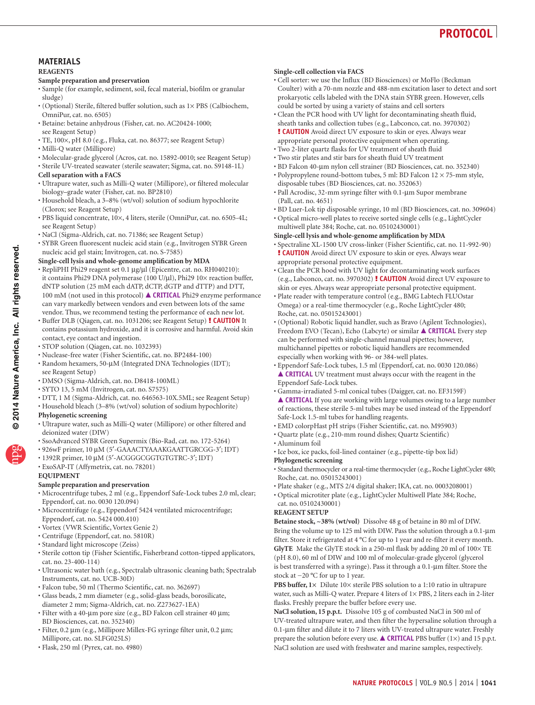

#### **MATERIALS REAGENTS**

#### **Sample preparation and preservation**

- Sample (for example, sediment, soil, fecal material, biofilm or granular sludge)
- (Optional) Sterile, filtered buffer solution, such as 1× PBS (Calbiochem, OmniPur, cat. no. 6505)
- · Betaine: betaine anhydrous (Fisher, cat. no. AC20424-1000; see Reagent Setup)
- TE, 100×, pH 8.0 (e.g., Fluka, cat. no. 86377; see Reagent Setup) •
- Milli-Q water (Millipore)
- Molecular-grade glycerol (Acros, cat. no. 15892-0010; see Reagent Setup) •
- Sterile UV-treated seawater (sterile seawater; Sigma, cat. no. S9148-1L) •

#### **Cell separation with a FACS**

- Ultrapure water, such as Milli-Q water (Millipore), or filtered molecular biology–grade water (Fisher, cat. no. BP2810)
- Household bleach, a 3–8% (wt/vol) solution of sodium hypochlorite (Clorox; see Reagent Setup)
- PBS liquid concentrate, 10×, 4 liters, sterile (OmniPur, cat. no. 6505-4L; see Reagent Setup)
- NaCl (Sigma-Aldrich, cat. no. 71386; see Reagent Setup) •
- · SYBR Green fluorescent nucleic acid stain (e.g., Invitrogen SYBR Green nucleic acid gel stain; Invitrogen, cat. no. S-7585)

#### **Single-cell lysis and whole-genome amplification by MDA**

- RepliPHI Phi29 reagent set 0.1 µg/µl (Epicentre, cat. no. RH040210): it contains Phi29 DNA polymerase (100 U/µl), Phi29 10× reaction buffer, dNTP solution (25 mM each dATP, dCTP, dGTP and dTTP) and DTT, 100 mM (not used in this protocol) **CRITICAL** Phi29 enzyme performance can vary markedly between vendors and even between lots of the same vendor. Thus, we recommend testing the performance of each new lot.
- Buffer DLB (Qiagen, cat. no. 1031206; see Reagent Setup) **! CAUTION** It contains potassium hydroxide, and it is corrosive and harmful. Avoid skin contact, eye contact and ingestion.
- STOP solution (Qiagen, cat. no. 1032393) •
- Nuclease-free water (Fisher Scientific, cat. no. BP2484-100) •
- Random hexamers, 50-μM (Integrated DNA Technologies (IDT); see Reagent Setup)
- DMSO (Sigma-Aldrich, cat. no. D8418-100ML) •
- SYTO 13, 5 mM (Invitrogen, cat. no. S7575) •
- DTT, 1 M (Sigma-Aldrich, cat. no. 646563-10X.5ML; see Reagent Setup) •
- Household bleach (3-8% (wt/vol) solution of sodium hypochlorite)

#### **Phylogenetic screening**

- Ultrapure water, such as Milli-Q water (Millipore) or other filtered and deionized water (DIW)
- SsoAdvanced SYBR Green Supermix (Bio-Rad, cat. no. 172-5264)
- 926wF primer, 10 µM (5′-GAAACTYAAAKGAATTGRCGG-3′; IDT) •
- 1392R primer, 10 μM (5'-ACGGGCGGTGTGTRC-3'; IDT)
- ExoSAP-IT (Affymetrix, cat. no. 78201) •

#### **EQUIPMENT**

#### **Sample preparation and preservation**

- Microcentrifuge tubes, 2 ml (e.g., Eppendorf Safe-Lock tubes 2.0 ml, clear; Eppendorf, cat. no. 0030 120.094)
- Microcentrifuge (e.g., Eppendorf 5424 ventilated microcentrifuge; Eppendorf, cat. no. 5424 000.410)
- Vortex (VWR Scientific, Vortex Genie 2) •
- Centrifuge (Eppendorf, cat. no. 5810R) •
- Standard light microscope (Zeiss)
- Sterile cotton tip (Fisher Scientific, Fisherbrand cotton-tipped applicators, cat. no. 23-400-114)
- Ultrasonic water bath (e.g., Spectralab ultrasonic cleaning bath; Spectralab Instruments, cat. no. UCB-30D)
- Falcon tube, 50 ml (Thermo Scientific, cat. no. 362697) •
- Glass beads, 2 mm diameter (e.g., solid-glass beads, borosilicate, diameter 2 mm; Sigma-Aldrich, cat. no. Z273627-1EA)
- Filter with a 40-μm pore size (e.g., BD Falcon cell strainer 40 μm; BD Biosciences, cat. no. 352340)
- Filter, 0.2 μm (e.g., Millipore Millex-FG syringe filter unit, 0.2 μm; Millipore, cat. no. SLFG025LS)
- Flask, 250 ml (Pyrex, cat. no. 4980) •

#### **Single-cell collection via FACS**

- Cell sorter: we use the Influx (BD Biosciences) or MoFlo (Beckman Coulter) with a 70-nm nozzle and 488-nm excitation laser to detect and sort prokaryotic cells labeled with the DNA stain SYBR green. However, cells could be sorted by using a variety of stains and cell sorters
- Clean the PCR hood with UV light for decontaminating sheath fluid, sheath tanks and collection tubes (e.g., Labconco, cat. no. 3970302)
- ! **CAUTION** Avoid direct UV exposure to skin or eyes. Always wear appropriate personal protective equipment when operating.
- Two 2-liter quartz flasks for UV treatment of sheath fluid •
- Two stir plates and stir bars for sheath fluid UV treatment •
- BD Falcon 40-µm nylon cell strainer (BD Biosciences, cat. no. 352340) • Polypropylene round-bottom tubes, 5 ml: BD Falcon 12 × 75-mm style, disposable tubes (BD Biosciences, cat. no. 352063)
- Pall Acrodisc, 32-mm syringe filter with 0.1-µm Supor membrane (Pall, cat. no. 4651)
- BD Luer-Lok tip disposable syringe, 10 ml (BD Biosciences, cat. no. 309604) •
- Optical micro-well plates to receive sorted single cells (e.g., LightCycler multiwell plate 384; Roche, cat. no. 05102430001)
- **Single-cell lysis and whole-genome amplification by MDA**
- Spectraline XL-1500 UV cross-linker (Fisher Scientific, cat. no. 11-992-90) ! **CAUTION** Avoid direct UV exposure to skin or eyes. Always wear appropriate personal protective equipment.
- Clean the PCR hood with UV light for decontaminating work surfaces (e.g., Labconco, cat. no. 3970302) ! **CAUTION** Avoid direct UV exposure to skin or eyes. Always wear appropriate personal protective equipment.
- Plate reader with temperature control (e.g., BMG Labtech FLUOstar Omega) or a real-time thermocycler (e.g., Roche LightCycler 480; Roche, cat. no. 05015243001)
- (Optional) Robotic liquid handler, such as Bravo (Agilent Technologies), Freedom EVO (Tecan), Echo (Labcyte) or similar **CRITICAL** Every step can be performed with single-channel manual pipettes; however, multichannel pipettes or robotic liquid handlers are recommended especially when working with 96- or 384-well plates.
- Eppendorf Safe-Lock tubes, 1.5 ml (Eppendorf, cat. no. 0030 120.086) **CRITICAL** UV treatment must always occur with the reagent in the Eppendorf Safe-Lock tubes.
- Gamma-irradiated 5-ml conical tubes (Daigger, cat. no. EF3159F) **CRITICAL** If you are working with large volumes owing to a large number of reactions, these sterile 5-ml tubes may be used instead of the Eppendorf Safe-Lock 1.5-ml tubes for handling reagents.
- EMD colorpHast pH strips (Fisher Scientific, cat. no. M95903) •
- Quartz plate (e.g., 210-mm round dishes; Quartz Scientific) •
- Aluminum foil •
- · Ice box, ice packs, foil-lined container (e.g., pipette-tip box lid)
- **Phylogenetic screening** • Standard thermocycler or a real-time thermocycler (e.g., Roche LightCycler 480; Roche, cat. no. 05015243001)
- Plate shaker (e.g., MTS 2/4 digital shaker; IKA, cat. no. 0003208001)
- Optical microtiter plate (e.g., LightCycler Multiwell Plate 384; Roche, •
- cat. no. 05102430001)

#### **REAGENT SETUP**

**Betaine stock, ~38% (wt/vol)** Dissolve 48 g of betaine in 80 ml of DIW. Bring the volume up to 125 ml with DIW. Pass the solution through a 0.1-µm filter. Store it refrigerated at 4 °C for up to 1 year and re-filter it every month. GlyTE Make the GlyTE stock in a 250-ml flask by adding 20 ml of  $100 \times$  TE (pH 8.0), 60 ml of DIW and 100 ml of molecular-grade glycerol (glycerol is best transferred with a syringe). Pass it through a 0.1-µm filter. Store the stock at −20 °C for up to 1 year.

**PBS buffer, 1×** Dilute 10× sterile PBS solution to a 1:10 ratio in ultrapure water, such as Milli-Q water. Prepare 4 liters of  $1 \times$  PBS, 2 liters each in 2-liter flasks. Freshly prepare the buffer before every use.

**NaCl solution, 15 p.p.t.** Dissolve 105 g of combusted NaCl in 500 ml of UV-treated ultrapure water, and then filter the hypersaline solution through a 0.1-µm filter and dilute it to 7 liters with UV-treated ultrapure water. Freshly prepare the solution before every use.  $\triangle$  **CRITICAL** PBS buffer (1×) and 15 p.p.t. NaCl solution are used with freshwater and marine samples, respectively.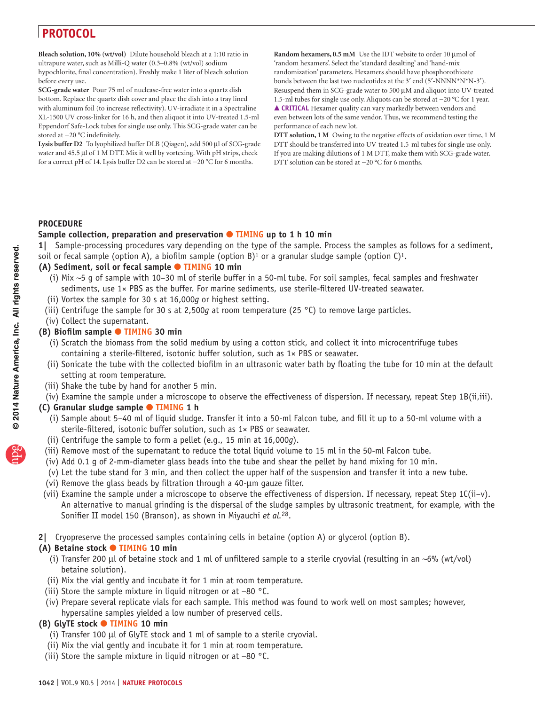**Bleach solution, 10% (wt/vol)** Dilute household bleach at a 1:10 ratio in ultrapure water, such as Milli-Q water (0.3–0.8% (wt/vol) sodium hypochlorite, final concentration). Freshly make 1 liter of bleach solution before every use.

**SCG-grade water** Pour 75 ml of nuclease-free water into a quartz dish bottom. Replace the quartz dish cover and place the dish into a tray lined with aluminum foil (to increase reflectivity). UV-irradiate it in a Spectraline XL-1500 UV cross-linker for 16 h, and then aliquot it into UV-treated 1.5-ml Eppendorf Safe-Lock tubes for single use only. This SCG-grade water can be stored at −20 °C indefinitely.

**Lysis buffer D2** To lyophilized buffer DLB (Qiagen), add 500 µl of SCG-grade water and 45.5 µl of 1 M DTT. Mix it well by vortexing. With pH strips, check for a correct pH of 14. Lysis buffer D2 can be stored at −20 °C for 6 months.

Random hexamers, 0.5 mM Use the IDT website to order 10 µmol of 'random hexamers'. Select the 'standard desalting' and 'hand-mix randomization' parameters. Hexamers should have phosphorothioate bonds between the last two nucleotides at the 3′ end (5′-NNNN\*N\*N-3′). Resuspend them in SCG-grade water to 500 µM and aliquot into UV-treated 1.5-ml tubes for single use only. Aliquots can be stored at −20 °C for 1 year. **CRITICAL** Hexamer quality can vary markedly between vendors and even between lots of the same vendor. Thus, we recommend testing the performance of each new lot.

**DTT solution, 1 M** Owing to the negative effects of oxidation over time, 1 M DTT should be transferred into UV-treated 1.5-ml tubes for single use only. If you are making dilutions of 1 M DTT, make them with SCG-grade water. DTT solution can be stored at −20 °C for 6 months.

#### **PROCEDURE**

#### **Sample collection, preparation and preservation** ● **TIMING up to 1 h 10 min**

**1|** Sample-processing procedures vary depending on the type of the sample. Process the samples as follows for a sediment, soil or fecal sample (option A), a biofilm sample (option B)<sup>[1](#page-10-19)</sup> or a granular sludge sample (option C)<sup>1</sup>.

### **(A) Sediment, soil or fecal sample** ● **TIMING 10 min**

- (i) Mix ~5 g of sample with 10–30 ml of sterile buffer in a 50-ml tube. For soil samples, fecal samples and freshwater sediments, use 1× PBS as the buffer. For marine sediments, use sterile-filtered UV-treated seawater.
- (ii) Vortex the sample for 30 s at 16,000*g* or highest setting.
- (iii) Centrifuge the sample for 30 s at 2,500*g* at room temperature (25 °C) to remove large particles.
- (iv) Collect the supernatant.

#### **(B) Biofilm sample** ● **TIMING 30 min**

- (i) Scratch the biomass from the solid medium by using a cotton stick, and collect it into microcentrifuge tubes containing a sterile-filtered, isotonic buffer solution, such as 1× PBS or seawater.
- (ii) Sonicate the tube with the collected biofilm in an ultrasonic water bath by floating the tube for 10 min at the default setting at room temperature.
- (iii) Shake the tube by hand for another 5 min.
- (iv) Examine the sample under a microscope to observe the effectiveness of dispersion. If necessary, repeat Step 1B(ii,iii).

#### **(C) Granular sludge sample** ● **TIMING 1 h**

- (i) Sample about 5–40 ml of liquid sludge. Transfer it into a 50-ml Falcon tube, and fill it up to a 50-ml volume with a sterile-filtered, isotonic buffer solution, such as 1× PBS or seawater.
- (ii) Centrifuge the sample to form a pellet (e.g., 15 min at 16,000*g*).
- (iii) Remove most of the supernatant to reduce the total liquid volume to 15 ml in the 50-ml Falcon tube.
- (iv) Add 0.1 g of 2-mm-diameter glass beads into the tube and shear the pellet by hand mixing for 10 min.
- (v) Let the tube stand for 3 min, and then collect the upper half of the suspension and transfer it into a new tube.
- (vi) Remove the glass beads by filtration through a 40-µm gauze filter.
- (vii) Examine the sample under a microscope to observe the effectiveness of dispersion. If necessary, repeat Step 1C(ii–v). An alternative to manual grinding is the dispersal of the sludge samples by ultrasonic treatment, for example, with the Sonifier II model 150 (Branson), as shown in Miyauchi *et al.*[28](#page-10-30).
- **2|** Cryopreserve the processed samples containing cells in betaine (option A) or glycerol (option B).

#### **(A) Betaine stock** ● **TIMING 10 min**

- (i) Transfer 200 µl of betaine stock and 1 ml of unfiltered sample to a sterile cryovial (resulting in an ~6% (wt/vol) betaine solution).
- (ii) Mix the vial gently and incubate it for 1 min at room temperature.
- (iii) Store the sample mixture in liquid nitrogen or at −80 °C.
- (iv) Prepare several replicate vials for each sample. This method was found to work well on most samples; however, hypersaline samples yielded a low number of preserved cells.

#### **(B) GlyTE stock** ● **TIMING 10 min**

- (i) Transfer 100 µl of GlyTE stock and 1 ml of sample to a sterile cryovial.
- (ii) Mix the vial gently and incubate it for 1 min at room temperature.
- (iii) Store the sample mixture in liquid nitrogen or at −80 °C.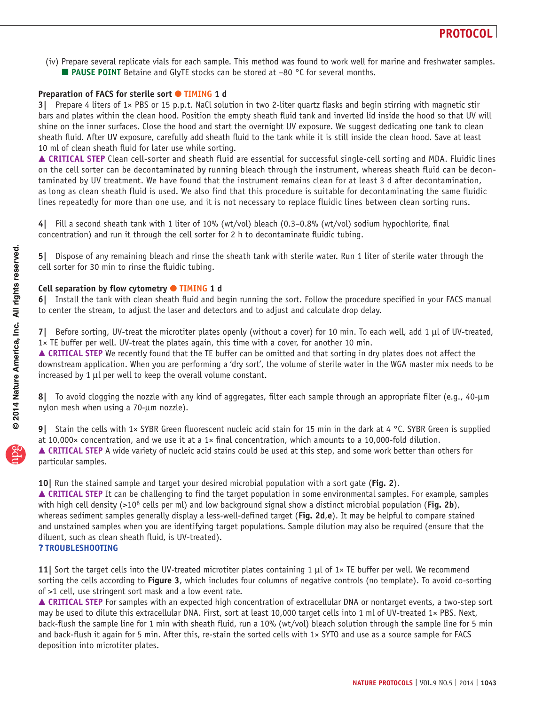(iv) Prepare several replicate vials for each sample. This method was found to work well for marine and freshwater samples. ■ **PAUSE POINT** Betaine and GlyTE stocks can be stored at –80 °C for several months.

#### **Preparation of FACS for sterile sort ● TIMING 1 d**

**3|** Prepare 4 liters of 1× PBS or 15 p.p.t. NaCl solution in two 2-liter quartz flasks and begin stirring with magnetic stir bars and plates within the clean hood. Position the empty sheath fluid tank and inverted lid inside the hood so that UV will shine on the inner surfaces. Close the hood and start the overnight UV exposure. We suggest dedicating one tank to clean sheath fluid. After UV exposure, carefully add sheath fluid to the tank while it is still inside the clean hood. Save at least 10 ml of clean sheath fluid for later use while sorting.

 **CRITICAL STEP** Clean cell-sorter and sheath fluid are essential for successful single-cell sorting and MDA. Fluidic lines on the cell sorter can be decontaminated by running bleach through the instrument, whereas sheath fluid can be decontaminated by UV treatment. We have found that the instrument remains clean for at least 3 d after decontamination, as long as clean sheath fluid is used. We also find that this procedure is suitable for decontaminating the same fluidic lines repeatedly for more than one use, and it is not necessary to replace fluidic lines between clean sorting runs.

**4|** Fill a second sheath tank with 1 liter of 10% (wt/vol) bleach (0.3–0.8% (wt/vol) sodium hypochlorite, final concentration) and run it through the cell sorter for 2 h to decontaminate fluidic tubing.

**5|** Dispose of any remaining bleach and rinse the sheath tank with sterile water. Run 1 liter of sterile water through the cell sorter for 30 min to rinse the fluidic tubing.

#### **Cell separation by flow cytometry** ● **TIMING 1 d**

**6|** Install the tank with clean sheath fluid and begin running the sort. Follow the procedure specified in your FACS manual to center the stream, to adjust the laser and detectors and to adjust and calculate drop delay.

**7|** Before sorting, UV-treat the microtiter plates openly (without a cover) for 10 min. To each well, add 1 µl of UV-treated,  $1\times$  TE buffer per well. UV-treat the plates again, this time with a cover, for another 10 min.

 **CRITICAL STEP** We recently found that the TE buffer can be omitted and that sorting in dry plates does not affect the downstream application. When you are performing a 'dry sort', the volume of sterile water in the WGA master mix needs to be increased by 1 µl per well to keep the overall volume constant.

**8|** To avoid clogging the nozzle with any kind of aggregates, filter each sample through an appropriate filter (e.g., 40-µm nylon mesh when using a 70-µm nozzle).

**9|** Stain the cells with 1× SYBR Green fluorescent nucleic acid stain for 15 min in the dark at 4 °C. SYBR Green is supplied at 10,000× concentration, and we use it at a 1× final concentration, which amounts to a 10,000-fold dilution. ■ CRITICAL STEP A wide variety of nucleic acid stains could be used at this step, and some work better than others for particular samples.

#### **10|** Run the stained sample and target your desired microbial population with a sort gate (**[Fig. 2](#page-6-0)**).

**△ CRITICAL STEP** It can be challenging to find the target population in some environmental samples. For example, samples with high cell density (>10<sup>6</sup> cells per ml) and low background signal show a distinct microbial population (**[Fig. 2b](#page-6-0)**), whereas sediment samples generally display a less-well-defined target (**[Fig. 2d](#page-6-0)**,**e**). It may be helpful to compare stained and unstained samples when you are identifying target populations. Sample dilution may also be required (ensure that the diluent, such as clean sheath fluid, is UV-treated).

### ? **TROUBLESHOOTING**

**11|** Sort the target cells into the UV-treated microtiter plates containing 1 µl of 1× TE buffer per well. We recommend sorting the cells according to **[Figure 3](#page-7-0)**, which includes four columns of negative controls (no template). To avoid co-sorting of >1 cell, use stringent sort mask and a low event rate.

 **CRITICAL STEP** For samples with an expected high concentration of extracellular DNA or nontarget events, a two-step sort may be used to dilute this extracellular DNA. First, sort at least 10,000 target cells into 1 ml of UV-treated 1× PBS. Next, back-flush the sample line for 1 min with sheath fluid, run a 10% (wt/vol) bleach solution through the sample line for 5 min and back-flush it again for 5 min. After this, re-stain the sorted cells with 1× SYTO and use as a source sample for FACS deposition into microtiter plates.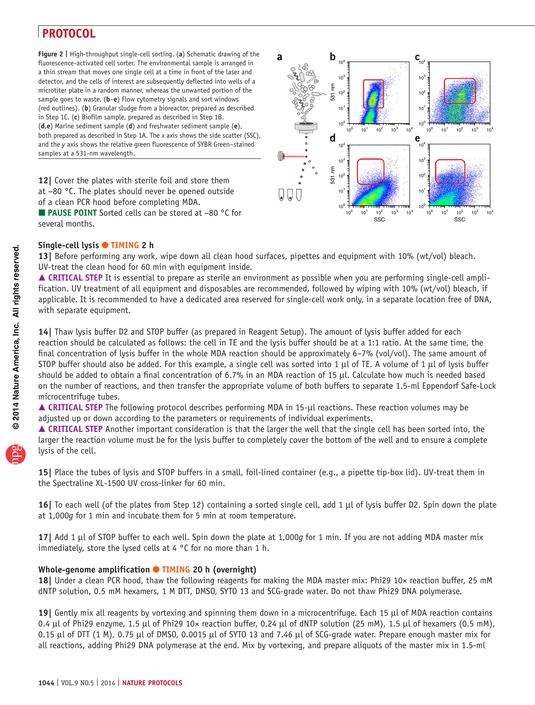<span id="page-6-0"></span>**Figure 2 |** High-throughput single-cell sorting. (**a**) Schematic drawing of the fluorescence-activated cell sorter. The environmental sample is arranged in a thin stream that moves one single cell at a time in front of the laser and detector, and the cells of interest are subsequently deflected into wells of a microtiter plate in a random manner, whereas the unwanted portion of the sample goes to waste. (**b**–**e**) Flow cytometry signals and sort windows (red outlines). (**b**) Granular sludge from a bioreactor, prepared as described in Step 1C. (**c**) Biofilm sample, prepared as described in Step 1B. (**d**,**e**) Marine sediment sample (**d**) and freshwater sediment sample (**e**), both prepared as described in Step 1A. The *x* axis shows the side scatter (SSC), and the *y* axis shows the relative green fluorescence of SYBR Green–stained samples at a 531-nm wavelength.

**12|** Cover the plates with sterile foil and store them at −80 °C. The plates should never be opened outside of a clean PCR hood before completing MDA.

 $C_{10^{4}}$ **a b c**<sub>c</sub> **c**  $\overline{10}$  $10<sup>3</sup>$ 103 531 nm  $10^{2}$  $10^2$ 10<sup>1</sup> 10  $10<sup>0</sup>$  $10^0 + 10^0$  $10^0$   $10^1$   $10^2$   $10^3$   $10^4$  $10^0$   $10^1$   $10^2$   $10^3$   $10^4$ **d e**  $e_{10}$  $10<sup>4</sup>$  $10<sup>3</sup>$  $10<sup>3</sup>$ 531 nm  $10<sup>2</sup>$  $10^2$ 101 10<sup>1</sup>  $\bigcup$  $10<sup>0</sup>$  $10<sup>1</sup>$  $10^0$   $10^1$   $10^2$   $10^3$   $10$ <br>SSC  $10^0$   $10^1$   $10^2$   $10^3$   $10^4$ ssc in the ssc

■ **PAUSE POINT** Sorted cells can be stored at −80 °C for several months.

#### **Single-cell lysis** ● **TIMING 2 h**

**13|** Before performing any work, wipe down all clean hood surfaces, pipettes and equipment with 10% (wt/vol) bleach. UV-treat the clean hood for 60 min with equipment inside.

■ CRITICAL STEP It is essential to prepare as sterile an environment as possible when you are performing single-cell amplification. UV treatment of all equipment and disposables are recommended, followed by wiping with 10% (wt/vol) bleach, if applicable. It is recommended to have a dedicated area reserved for single-cell work only, in a separate location free of DNA, with separate equipment.

**14|** Thaw lysis buffer D2 and STOP buffer (as prepared in Reagent Setup). The amount of lysis buffer added for each reaction should be calculated as follows: the cell in TE and the lysis buffer should be at a 1:1 ratio. At the same time, the final concentration of lysis buffer in the whole MDA reaction should be approximately 6–7% (vol/vol). The same amount of STOP buffer should also be added. For this example, a single cell was sorted into 1  $\mu$ l of TE. A volume of 1  $\mu$ l of lysis buffer should be added to obtain a final concentration of 6.7% in an MDA reaction of 15 µl. Calculate how much is needed based on the number of reactions, and then transfer the appropriate volume of both buffers to separate 1.5-ml Eppendorf Safe-Lock microcentrifuge tubes.

 **CRITICAL STEP** The following protocol describes performing MDA in 15-µl reactions. These reaction volumes may be adjusted up or down according to the parameters or requirements of individual experiments.

 **CRITICAL STEP** Another important consideration is that the larger the well that the single cell has been sorted into, the larger the reaction volume must be for the lysis buffer to completely cover the bottom of the well and to ensure a complete lysis of the cell.

**15|** Place the tubes of lysis and STOP buffers in a small, foil-lined container (e.g., a pipette tip-box lid). UV-treat them in the Spectraline XL-1500 UV cross-linker for 60 min.

**16|** To each well (of the plates from Step 12) containing a sorted single cell, add 1 µl of lysis buffer D2. Spin down the plate at 1,000*g* for 1 min and incubate them for 5 min at room temperature.

**17|** Add 1 µl of STOP buffer to each well. Spin down the plate at 1,000*g* for 1 min. If you are not adding MDA master mix immediately, store the lysed cells at 4 °C for no more than 1 h.

#### **Whole-genome amplification** ● **TIMING 20 h (overnight)**

**18|** Under a clean PCR hood, thaw the following reagents for making the MDA master mix: Phi29 10× reaction buffer, 25 mM dNTP solution, 0.5 mM hexamers, 1 M DTT, DMSO, SYTO 13 and SCG-grade water. Do not thaw Phi29 DNA polymerase.

**19|** Gently mix all reagents by vortexing and spinning them down in a microcentrifuge. Each 15 µl of MDA reaction contains 0.4 µl of Phi29 enzyme, 1.5 µl of Phi29 10× reaction buffer, 0.24 µl of dNTP solution (25 mM), 1.5 µl of hexamers (0.5 mM), 0.15 µl of DTT (1 M), 0.75 µl of DMSO, 0.0015 µl of SYTO 13 and 7.46 µl of SCG-grade water. Prepare enough master mix for all reactions, adding Phi29 DNA polymerase at the end. Mix by vortexing, and prepare aliquots of the master mix in 1.5-ml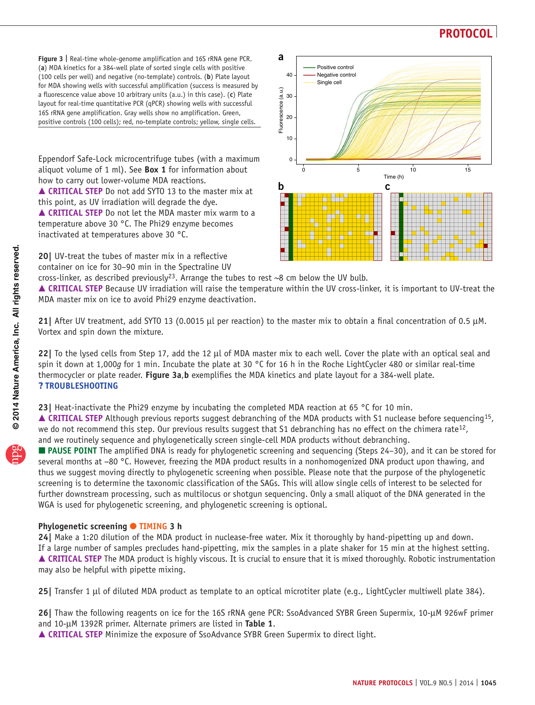<span id="page-7-0"></span>**Figure 3 |** Real-time whole-genome amplification and 16S rRNA gene PCR. (**a**) MDA kinetics for a 384-well plate of sorted single cells with positive (100 cells per well) and negative (no-template) controls. (**b**) Plate layout for MDA showing wells with successful amplification (success is measured by a fluorescence value above 10 arbitrary units (a.u.) in this case). (**c**) Plate layout for real-time quantitative PCR (qPCR) showing wells with successful 16S rRNA gene amplification. Gray wells show no amplification. Green, positive controls (100 cells); red, no-template controls; yellow, single cells.

Eppendorf Safe-Lock microcentrifuge tubes (with a maximum aliquot volume of 1 ml). See **[Box 1](#page-1-1)** for information about how to carry out lower-volume MDA reactions.

 **CRITICAL STEP** Do not add SYTO 13 to the master mix at this point, as UV irradiation will degrade the dye. **CRITICAL STEP** Do not let the MDA master mix warm to a temperature above 30 °C. The Phi29 enzyme becomes inactivated at temperatures above 30 °C.

**20|** UV-treat the tubes of master mix in a reflective container on ice for 30–90 min in the Spectraline UV



cross-linker, as described previously<sup>[23](#page-10-31)</sup>. Arrange the tubes to rest  $\sim$ 8 cm below the UV bulb.

 **CRITICAL STEP** Because UV irradiation will raise the temperature within the UV cross-linker, it is important to UV-treat the MDA master mix on ice to avoid Phi29 enzyme deactivation.

**21|** After UV treatment, add SYTO 13 (0.0015 µl per reaction) to the master mix to obtain a final concentration of 0.5 µM. Vortex and spin down the mixture.

**22|** To the lysed cells from Step 17, add the 12 µl of MDA master mix to each well. Cover the plate with an optical seal and spin it down at 1,000*g* for 1 min. Incubate the plate at 30 °C for 16 h in the Roche LightCycler 480 or similar real-time thermocycler or plate reader. **[Figure 3a](#page-7-0)**,**b** exemplifies the MDA kinetics and plate layout for a 384-well plate. ? **TROUBLESHOOTING**

**23|** Heat-inactivate the Phi29 enzyme by incubating the completed MDA reaction at 65 °C for 10 min.

■ CRITICAL STEP Although previous reports suggest debranching of the MDA products with S1 nuclease before sequencing<sup>15</sup>, we do not recommend this step. Our previous results suggest that S1 debranching has no effect on the chimera rate $12$ , and we routinely sequence and phylogenetically screen single-cell MDA products without debranching.

 **PAUSE POINT** The amplified DNA is ready for phylogenetic screening and sequencing (Steps 24–30), and it can be stored for several months at −80 °C. However, freezing the MDA product results in a nonhomogenized DNA product upon thawing, and thus we suggest moving directly to phylogenetic screening when possible. Please note that the purpose of the phylogenetic screening is to determine the taxonomic classification of the SAGs. This will allow single cells of interest to be selected for further downstream processing, such as multilocus or shotgun sequencing. Only a small aliquot of the DNA generated in the WGA is used for phylogenetic screening, and phylogenetic screening is optional.

#### **Phylogenetic screening ● TIMING 3 h**

**24|** Make a 1:20 dilution of the MDA product in nuclease-free water. Mix it thoroughly by hand-pipetting up and down. If a large number of samples precludes hand-pipetting, mix the samples in a plate shaker for 15 min at the highest setting. ■ CRITICAL STEP The MDA product is highly viscous. It is crucial to ensure that it is mixed thoroughly. Robotic instrumentation may also be helpful with pipette mixing.

**25|** Transfer 1 µl of diluted MDA product as template to an optical microtiter plate (e.g., LightCycler multiwell plate 384).

**26|** Thaw the following reagents on ice for the 16S rRNA gene PCR: SsoAdvanced SYBR Green Supermix, 10-µM 926wF primer and 10-µM 1392R primer. Alternate primers are listed in **[Table 1](#page-2-0)**.

**CRITICAL STEP** Minimize the exposure of SsoAdvance SYBR Green Supermix to direct light.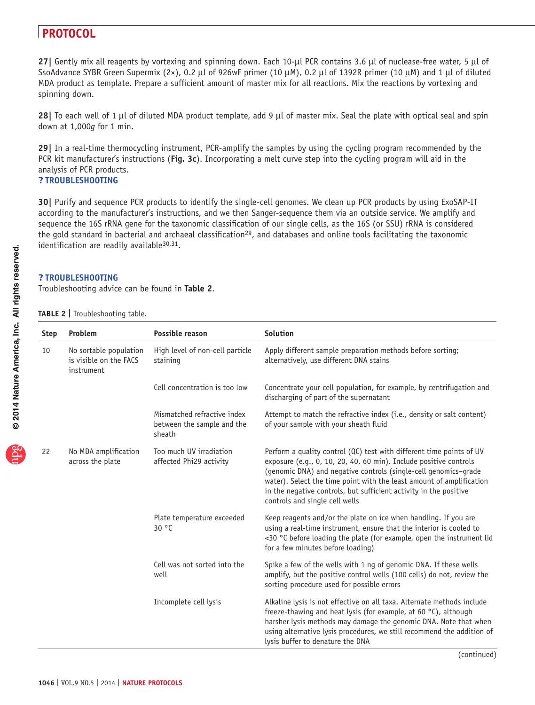**27|** Gently mix all reagents by vortexing and spinning down. Each 10-µl PCR contains 3.6 µl of nuclease-free water, 5 µl of SsoAdvance SYBR Green Supermix (2×), 0.2 µl of 926wF primer (10 µM), 0.2 µl of 1392R primer (10 µM) and 1 µl of diluted MDA product as template. Prepare a sufficient amount of master mix for all reactions. Mix the reactions by vortexing and spinning down.

**28|** To each well of 1 µl of diluted MDA product template, add 9 µl of master mix. Seal the plate with optical seal and spin down at 1,000*g* for 1 min.

**29|** In a real-time thermocycling instrument, PCR-amplify the samples by using the cycling program recommended by the PCR kit manufacturer's instructions (**[Fig. 3c](#page-7-0)**). Incorporating a melt curve step into the cycling program will aid in the analysis of PCR products.

### ? **TROUBLESHOOTING**

**30|** Purify and sequence PCR products to identify the single-cell genomes. We clean up PCR products by using ExoSAP-IT according to the manufacturer's instructions, and we then Sanger-sequence them via an outside service. We amplify and sequence the 16S rRNA gene for the taxonomic classification of our single cells, as the 16S (or SSU) rRNA is considered the gold standard in bacterial and archaeal classification<sup>29</sup>, and databases and online tools facilitating the taxonomic identification are readily available<sup>30,31</sup>.

#### ? **TROUBLESHOOTING**

Troubleshooting advice can be found in **[Table 2](#page-8-0)**.

<span id="page-8-0"></span>

|  | TABLE 2   Troubleshooting table. |  |
|--|----------------------------------|--|
|--|----------------------------------|--|

| <b>Step</b> | Problem                                                        | Possible reason                                                     | <b>Solution</b>                                                                                                                                                                                                                                                                                                                                                                             |
|-------------|----------------------------------------------------------------|---------------------------------------------------------------------|---------------------------------------------------------------------------------------------------------------------------------------------------------------------------------------------------------------------------------------------------------------------------------------------------------------------------------------------------------------------------------------------|
| 10          | No sortable population<br>is visible on the FACS<br>instrument | High level of non-cell particle<br>staining                         | Apply different sample preparation methods before sorting;<br>alternatively, use different DNA stains                                                                                                                                                                                                                                                                                       |
|             |                                                                | Cell concentration is too low                                       | Concentrate your cell population, for example, by centrifugation and<br>discharging of part of the supernatant                                                                                                                                                                                                                                                                              |
|             |                                                                | Mismatched refractive index<br>between the sample and the<br>sheath | Attempt to match the refractive index ( <i>i.e.</i> , density or salt content)<br>of your sample with your sheath fluid                                                                                                                                                                                                                                                                     |
| 22          | No MDA amplification<br>across the plate                       | Too much UV irradiation<br>affected Phi29 activity                  | Perform a quality control (QC) test with different time points of UV<br>exposure (e.g., 0, 10, 20, 40, 60 min). Include positive controls<br>(genomic DNA) and negative controls (single-cell genomics-grade<br>water). Select the time point with the least amount of amplification<br>in the negative controls, but sufficient activity in the positive<br>controls and single cell wells |
|             |                                                                | Plate temperature exceeded<br>30 °C                                 | Keep reagents and/or the plate on ice when handling. If you are<br>using a real-time instrument, ensure that the interior is cooled to<br><30 °C before loading the plate (for example, open the instrument lid<br>for a few minutes before loading)                                                                                                                                        |
|             |                                                                | Cell was not sorted into the<br>well                                | Spike a few of the wells with 1 ng of genomic DNA. If these wells<br>amplify, but the positive control wells (100 cells) do not, review the<br>sorting procedure used for possible errors                                                                                                                                                                                                   |
|             |                                                                | Incomplete cell lysis                                               | Alkaline lysis is not effective on all taxa. Alternate methods include<br>freeze-thawing and heat lysis (for example, at 60 °C), although<br>harsher lysis methods may damage the genomic DNA. Note that when<br>using alternative lysis procedures, we still recommend the addition of<br>lysis buffer to denature the DNA                                                                 |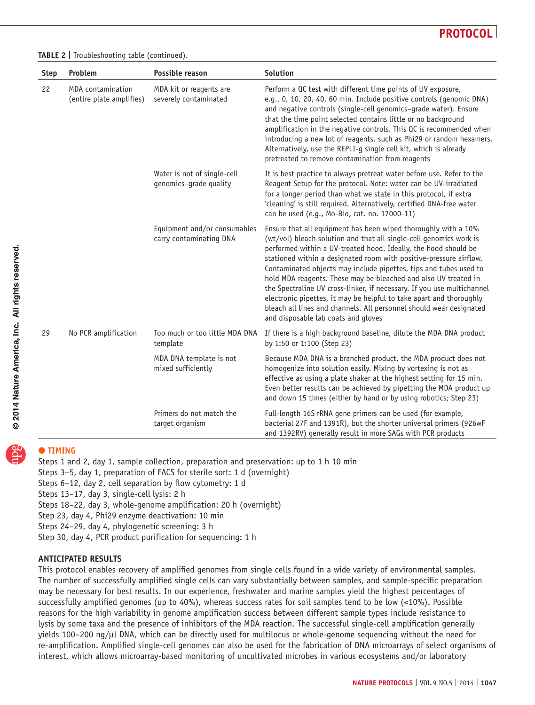**Table 2 |** Troubleshooting table (continued).

| <b>Step</b> | Problem                                       | Possible reason                                         | <b>Solution</b>                                                                                                                                                                                                                                                                                                                                                                                                                                                                                                                                                                                                                                                                      |
|-------------|-----------------------------------------------|---------------------------------------------------------|--------------------------------------------------------------------------------------------------------------------------------------------------------------------------------------------------------------------------------------------------------------------------------------------------------------------------------------------------------------------------------------------------------------------------------------------------------------------------------------------------------------------------------------------------------------------------------------------------------------------------------------------------------------------------------------|
| 22          | MDA contamination<br>(entire plate amplifies) | MDA kit or reagents are<br>severely contaminated        | Perform a QC test with different time points of UV exposure,<br>e.g., 0, 10, 20, 40, 60 min. Include positive controls (genomic DNA)<br>and negative controls (single-cell genomics-grade water). Ensure<br>that the time point selected contains little or no background<br>amplification in the negative controls. This QC is recommended when<br>introducing a new lot of reagents, such as Phi29 or random hexamers.<br>Alternatively, use the REPLI-g single cell kit, which is already<br>pretreated to remove contamination from reagents                                                                                                                                     |
|             |                                               | Water is not of single-cell<br>genomics-grade quality   | It is best practice to always pretreat water before use. Refer to the<br>Reagent Setup for the protocol. Note: water can be UV-irradiated<br>for a longer period than what we state in this protocol, if extra<br>'cleaning' is still required. Alternatively, certified DNA-free water<br>can be used (e.g., Mo-Bio, cat. no. 17000-11)                                                                                                                                                                                                                                                                                                                                             |
|             |                                               | Equipment and/or consumables<br>carry contaminating DNA | Ensure that all equipment has been wiped thoroughly with a 10%<br>(wt/vol) bleach solution and that all single-cell genomics work is<br>performed within a UV-treated hood. Ideally, the hood should be<br>stationed within a designated room with positive-pressure airflow.<br>Contaminated objects may include pipettes, tips and tubes used to<br>hold MDA reagents. These may be bleached and also UV treated in<br>the Spectraline UV cross-linker, if necessary. If you use multichannel<br>electronic pipettes, it may be helpful to take apart and thoroughly<br>bleach all lines and channels. All personnel should wear designated<br>and disposable lab coats and gloves |
| 29          | No PCR amplification                          | Too much or too little MDA DNA<br>template              | If there is a high background baseline, dilute the MDA DNA product<br>by 1:50 or 1:100 (Step 23)                                                                                                                                                                                                                                                                                                                                                                                                                                                                                                                                                                                     |
|             |                                               | MDA DNA template is not<br>mixed sufficiently           | Because MDA DNA is a branched product, the MDA product does not<br>homogenize into solution easily. Mixing by vortexing is not as<br>effective as using a plate shaker at the highest setting for 15 min.<br>Even better results can be achieved by pipetting the MDA product up<br>and down 15 times (either by hand or by using robotics; Step 23)                                                                                                                                                                                                                                                                                                                                 |
|             |                                               | Primers do not match the<br>target organism             | Full-length 16S rRNA gene primers can be used (for example,<br>bacterial 27F and 1391R), but the shorter universal primers (926wF<br>and 1392RV) generally result in more SAGs with PCR products                                                                                                                                                                                                                                                                                                                                                                                                                                                                                     |

## ● **TIMING**

Steps 1 and 2, day 1, sample collection, preparation and preservation: up to 1 h 10 min Steps 3–5, day 1, preparation of FACS for sterile sort: 1 d (overnight) Steps 6–12, day 2, cell separation by flow cytometry: 1 d Steps 13–17, day 3, single-cell lysis: 2 h Steps 18–22, day 3, whole-genome amplification: 20 h (overnight) Step 23, day 4, Phi29 enzyme deactivation: 10 min Steps 24–29, day 4, phylogenetic screening: 3 h Step 30, day 4, PCR product purification for sequencing: 1 h

#### **ANTICIPATED RESULTS**

This protocol enables recovery of amplified genomes from single cells found in a wide variety of environmental samples. The number of successfully amplified single cells can vary substantially between samples, and sample-specific preparation may be necessary for best results. In our experience, freshwater and marine samples yield the highest percentages of successfully amplified genomes (up to 40%), whereas success rates for soil samples tend to be low (<10%). Possible reasons for the high variability in genome amplification success between different sample types include resistance to lysis by some taxa and the presence of inhibitors of the MDA reaction. The successful single-cell amplification generally yields 100–200 ng/µl DNA, which can be directly used for multilocus or whole-genome sequencing without the need for re-amplification. Amplified single-cell genomes can also be used for the fabrication of DNA microarrays of select organisms of interest, which allows microarray-based monitoring of uncultivated microbes in various ecosystems and/or laboratory